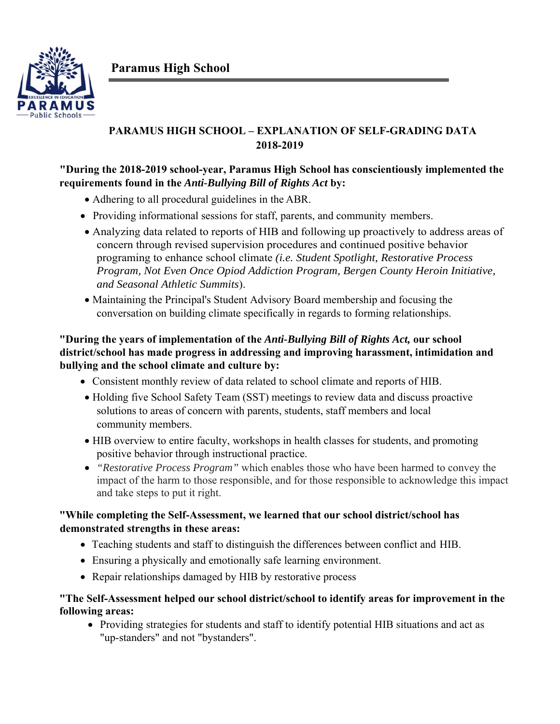**Paramus High School** 



# **PARAMUS HIGH SCHOOL – EXPLANATION OF SELF-GRADING DATA 2018-2019**

## **"During the 2018-2019 school-year, Paramus High School has conscientiously implemented the requirements found in the** *Anti-Bullying Bill of Rights Act* **by:**

- Adhering to all procedural guidelines in the ABR.
- Providing informational sessions for staff, parents, and community members.
- Analyzing data related to reports of HIB and following up proactively to address areas of concern through revised supervision procedures and continued positive behavior programing to enhance school climate *(i.e. Student Spotlight, Restorative Process Program, Not Even Once Opiod Addiction Program, Bergen County Heroin Initiative, and Seasonal Athletic Summits*).
- Maintaining the Principal's Student Advisory Board membership and focusing the conversation on building climate specifically in regards to forming relationships.

### **"During the years of implementation of the** *Anti-Bullying Bill of Rights Act,* **our school district/school has made progress in addressing and improving harassment, intimidation and bullying and the school climate and culture by:**

- Consistent monthly review of data related to school climate and reports of HIB.
- Holding five School Safety Team (SST) meetings to review data and discuss proactive solutions to areas of concern with parents, students, staff members and local community members.
- HIB overview to entire faculty, workshops in health classes for students, and promoting positive behavior through instructional practice.
- *"Restorative Process Program"* which enables those who have been harmed to convey the impact of the harm to those responsible, and for those responsible to acknowledge this impact and take steps to put it right.

### **"While completing the Self-Assessment, we learned that our school district/school has demonstrated strengths in these areas:**

- Teaching students and staff to distinguish the differences between conflict and HIB.
- Ensuring a physically and emotionally safe learning environment.
- Repair relationships damaged by HIB by restorative process

### **"The Self-Assessment helped our school district/school to identify areas for improvement in the following areas:**

 Providing strategies for students and staff to identify potential HIB situations and act as "up-standers" and not "bystanders".